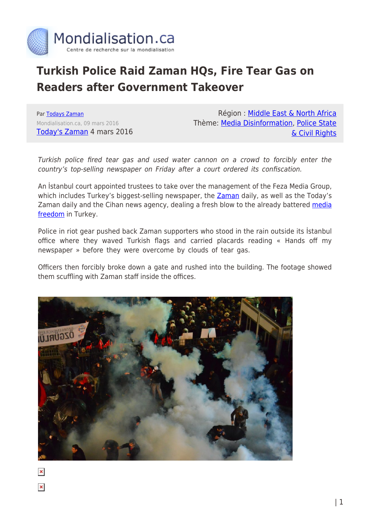

## **Turkish Police Raid Zaman HQs, Fire Tear Gas on Readers after Government Takeover**

Par [Todays Zaman](https://www.mondialisation.ca/author/todays-zaman) Mondialisation.ca, 09 mars 2016 [Today's Zaman](http://www.todayszaman.com/national_turkish-police-raid-zaman-hqs-fire-tear-gas-on-readers-after-govt-takeover_414040.html) 4 mars 2016

Région : [Middle East & North Africa](https://www.mondialisation.ca/region/middle-east) Thème: [Media Disinformation,](https://www.mondialisation.ca/theme/media-disinformation) [Police State](https://www.mondialisation.ca/theme/police-state-civil-rights) [& Civil Rights](https://www.mondialisation.ca/theme/police-state-civil-rights)

Turkish police fired tear gas and used water cannon on a crowd to forcibly enter the country's top-selling newspaper on Friday after a court ordered its confiscation.

An İstanbul court appointed trustees to take over the management of the Feza Media Group, which includes Turkey's biggest-selling newspaper, the [Zaman](http://www.todayszaman.com/index/zaman) daily, as well as the Today's Zaman daily and the Cihan news agency, dealing a fresh blow to the already battered [media](http://www.todayszaman.com/index/media-freedom) [freedom](http://www.todayszaman.com/index/media-freedom) in Turkey.

Police in riot gear pushed back Zaman supporters who stood in the rain outside its İstanbul office where they waved Turkish flags and carried placards reading « Hands off my newspaper » before they were overcome by clouds of tear gas.

Officers then forcibly broke down a gate and rushed into the building. The footage showed them scuffling with Zaman staff inside the offices.



 $\pmb{\times}$ 

 $\pmb{\times}$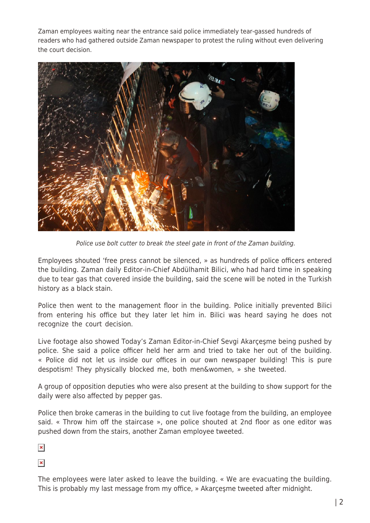Zaman employees waiting near the entrance said police immediately tear-gassed hundreds of readers who had gathered outside Zaman newspaper to protest the ruling without even delivering the court decision.



Police use bolt cutter to break the steel gate in front of the Zaman building.

Employees shouted 'free press cannot be silenced, » as hundreds of police officers entered the building. Zaman daily Editor-in-Chief Abdülhamit Bilici, who had hard time in speaking due to tear gas that covered inside the building, said the scene will be noted in the Turkish history as a black stain.

Police then went to the management floor in the building. Police initially prevented Bilici from entering his office but they later let him in. Bilici was heard saying he does not recognize the court decision.

Live footage also showed Today's Zaman Editor-in-Chief Sevgi Akarçeşme being pushed by police. She said a police officer held her arm and tried to take her out of the building. « Police did not let us inside our offices in our own newspaper building! This is pure despotism! They physically blocked me, both men&women, » she tweeted.

A group of opposition deputies who were also present at the building to show support for the daily were also affected by pepper gas.

Police then broke cameras in the building to cut live footage from the building, an employee said. « Throw him off the staircase », one police shouted at 2nd floor as one editor was pushed down from the stairs, another Zaman employee tweeted.

 $\pmb{\times}$ 

 $\pmb{\times}$ 

The employees were later asked to leave the building. « We are evacuating the building. This is probably my last message from my office, » Akarçeşme tweeted after midnight.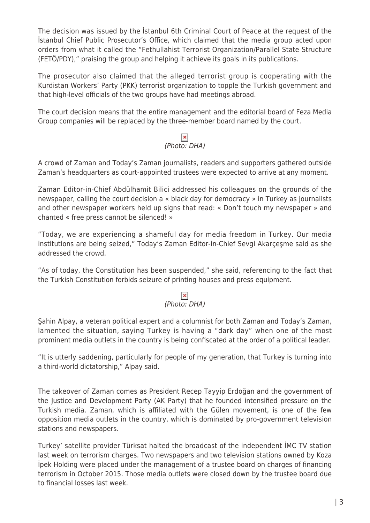The decision was issued by the İstanbul 6th Criminal Court of Peace at the request of the İstanbul Chief Public Prosecutor's Office, which claimed that the media group acted upon orders from what it called the "Fethullahist Terrorist Organization/Parallel State Structure (FETÖ/PDY)," praising the group and helping it achieve its goals in its publications.

The prosecutor also claimed that the alleged terrorist group is cooperating with the Kurdistan Workers' Party (PKK) terrorist organization to topple the Turkish government and that high-level officials of the two groups have had meetings abroad.

The court decision means that the entire management and the editorial board of Feza Media Group companies will be replaced by the three-member board named by the court.

# $\frac{\times}{\times}$ <br>(Photo: DHA)

A crowd of Zaman and Today's Zaman journalists, readers and supporters gathered outside Zaman's headquarters as court-appointed trustees were expected to arrive at any moment.

Zaman Editor-in-Chief Abdülhamit Bilici addressed his colleagues on the grounds of the newspaper, calling the court decision a « black day for democracy » in Turkey as journalists and other newspaper workers held up signs that read: « Don't touch my newspaper » and chanted « free press cannot be silenced! »

"Today, we are experiencing a shameful day for media freedom in Turkey. Our media institutions are being seized," Today's Zaman Editor-in-Chief Sevgi Akarçeşme said as she addressed the crowd.

"As of today, the Constitution has been suspended," she said, referencing to the fact that the Turkish Constitution forbids seizure of printing houses and press equipment.

### $\pmb{\times}$

### (Photo: DHA)

Şahin Alpay, a veteran political expert and a columnist for both Zaman and Today's Zaman, lamented the situation, saying Turkey is having a "dark day" when one of the most prominent media outlets in the country is being confiscated at the order of a political leader.

"It is utterly saddening, particularly for people of my generation, that Turkey is turning into a third-world dictatorship," Alpay said.

The takeover of Zaman comes as President Recep Tayyip Erdoğan and the government of the Justice and Development Party (AK Party) that he founded intensified pressure on the Turkish media. Zaman, which is affiliated with the Gülen movement, is one of the few opposition media outlets in the country, which is dominated by pro-government television stations and newspapers.

Turkey' satellite provider Türksat halted the broadcast of the independent İMC TV station last week on terrorism charges. Two newspapers and two television stations owned by Koza İpek Holding were placed under the management of a trustee board on charges of financing terrorism in October 2015. Those media outlets were closed down by the trustee board due to financial losses last week.